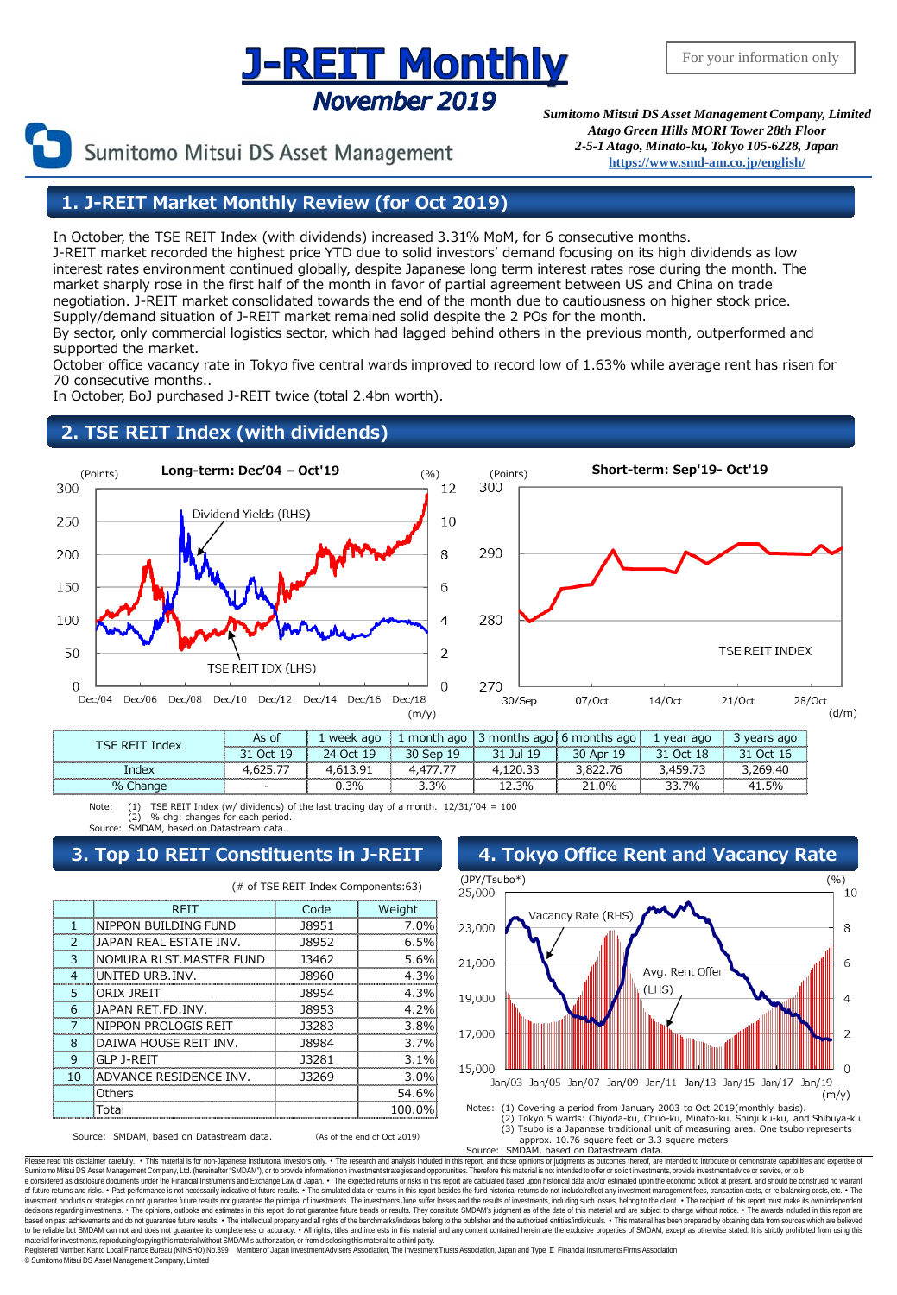## **J-REIT Monthly November 2019**

Sumitomo Mitsui DS Asset Management

*Sumitomo Mitsui DS Asset Management Company, Limited Atago Green Hills MORI Tower 28th Floor 2-5-1 Atago, Minato-ku, Tokyo 105-6228, Japan* **[https://www.smd-am.co.jp/english/](http://www.smam-jp.com/english/)**

### **1. J-REIT Market Monthly Review (for Oct 2019)**

In October, the TSE REIT Index (with dividends) increased 3.31% MoM, for 6 consecutive months.

J-REIT market recorded the highest price YTD due to solid investors' demand focusing on its high dividends as low interest rates environment continued globally, despite Japanese long term interest rates rose during the month. The market sharply rose in the first half of the month in favor of partial agreement between US and China on trade negotiation. J-REIT market consolidated towards the end of the month due to cautiousness on higher stock price. Supply/demand situation of J-REIT market remained solid despite the 2 POs for the month. By sector, only commercial logistics sector, which had lagged behind others in the previous month, outperformed and

supported the market.

October office vacancy rate in Tokyo five central wards improved to record low of 1.63% while average rent has risen for 70 consecutive months..

In October, BoJ purchased J-REIT twice (total 2.4bn worth).

### **2. TSE REIT Index (with dividends)**



|  | - |  | 30 | ገዐሪ |  |
|--|---|--|----|-----|--|

Note: (1) TSE REIT Index (w/ dividends) of the last trading day of a month. 12/31/'04 = 100 (2) % chg: changes for each period. SMDAM, based on Datastream data

#### (# of TSE REIT Index Components:63) REIT | Code | Weight 1 NIPPON BUILDING FUND 38951 38951 7.0% 2 JAPAN REAL ESTATE INV. 18952 6.5% 3 NOMURA RLST.MASTER FUND 33462 5.6% 4 UNITED URB.INV. 18960 4.3% 5 ORIX JREIT J8954 4.3% 6 JAPAN RET.FD.INV. J8953 4.2% 7 NIPPON PROLOGIS REIT | J3283 | 3.8% 8 DAIWA HOUSE REIT INV. | 38984 | 3.7% 9 GLP J-REIT 3.1% 10 ADVANCE RESIDENCE INV. 13269 3.0% Others 1.1 and 54.6% Total 100.0%

Source: SMDAM, based on Datastream data. (As of the end of Oct 2019)



Approx. 10.76 square feet or 3.3 square meters<br>Source: SMDAM, based on Datastream data. SMDAM, based on Datastream data.

Please read this disclaimer carefully. • This material is for non-Japanese institutional investors only. • The research and analysis included in this report, and those opinions or judgments as outcomes thereof, are intende e considered as disclosure documents under the Financial Instruments and Exchange Law of Japan. • The expected returns or risks in this report are calculated based upon historical data and/or estimated upon the economic ou decisions regarding investments. • The opinions, outlooks and estimates in this report do not guarantee future trends or results. They constitute SMDAM's judgment as of the date of this material and are subject to change w material for investments, reproducing/copying this material without SMDAM's authorization, or from disclosing this material to a third party.<br>Registered Number: Kanto Local Finance Bureau (KINSHO) No.399 Member of Japan In

© SumitomoMitsui DS Asset Management Company, Limited